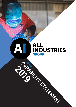# **ALL<br>INDUSTRIES** CADANY CATCHERY **GROUP**

 $\Delta$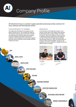

## Company Profile

All Industries Group is a product supply specialist producing turnkey solutions for local, national and international clients.

#### Commitment To Safety

The safety and well being of our people is at the heart of all that we do. This includes the safety of All Industries Group products and clients. All staff are supported with ongoing safety and workplace training, including mine specific inductions as required. A safe workplace not only protects against personal injury but protects assets, people and their families from harm.

#### **Directors**

As the directors of All Industries Group it is our mission to add value to the supply chain network, by eliminating steps, making it easier and faster to transact. Here at All Industries Group, we focus on delivering the best quality, price and speed for our clients. We do this through industry leading warehousing solutions to offer the market place our products off the shelf availability. Giving you, the customer, the most competitive, valuable, timely and efficient means of supply.

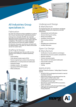![](_page_2_Picture_0.jpeg)

## All Industries Group specialises in:

#### Fabrication

Our team has extensive tooling capabilities to produce full in house manufacturing for specialised products.

AI Group have a bespoke ISO 9001 QA controlled fabrication process and production line. Allowing all Industries Group to produce at a much faster rate then competitors This results in our clients seeing less asset downtime and improved supplier reliability.

All Industries Group also manufacture and hold stock for repeat products. This gives our clients off the shelf service for custom items.

#### Drafting & Design

We have a dedicated team that can offer turn key solutions from drafting to complete engineering services.

- Onsite drafting
- Finite element analyis reports (FEA)
- Reverse engineering to produce shop drawings
- Modifications to existing fixed and mobile plant
- Equipment design
- Autodesk inventor 3D modelling
- Specialised ROPS/FOPS designs
- RPEQ Certification

#### Underground Design & Manufacture

Our Engineering team can manufacture and design specialised underground componentry and QDS attachments.

- Refurbishment and Certification
- Abrasive blasting and coating
- Mining Consumables
- Ventilation Control Devices
- Stone dusting solutions
- QDS
- Rotatable parts refurbishment
- Certified Fabrication

### Open Cut Design

#### & Manufacture

- Certification of access platforms and designs
- Manufacturing of access systems and platforms
- Machine overhauls
- Pontoon and pump repairs
- Wear solutions for fixed plant/mobile plant
- Fluid transfer solutions
- Machine upgrades
- **Tooling**

#### ROPS/FOPS

Rollover Protective Systems / Falling Object Protective System

- All ROPS/FOPS are designed and tested to meet all Australian standards
- ROPS/FOPS frames are manufactured from the highest grade certified carbon steel.
- Manufacture and fit ROPS/FOPS to trucks including prime mover cabs
- Manufacture and fit ROPS/FOPS to excavators, dozers and graders
- Repair, test and re-certify damaged ROPS/FOPS and cabins for earthmoving and mining industries.

![](_page_2_Picture_43.jpeg)

![](_page_2_Picture_44.jpeg)